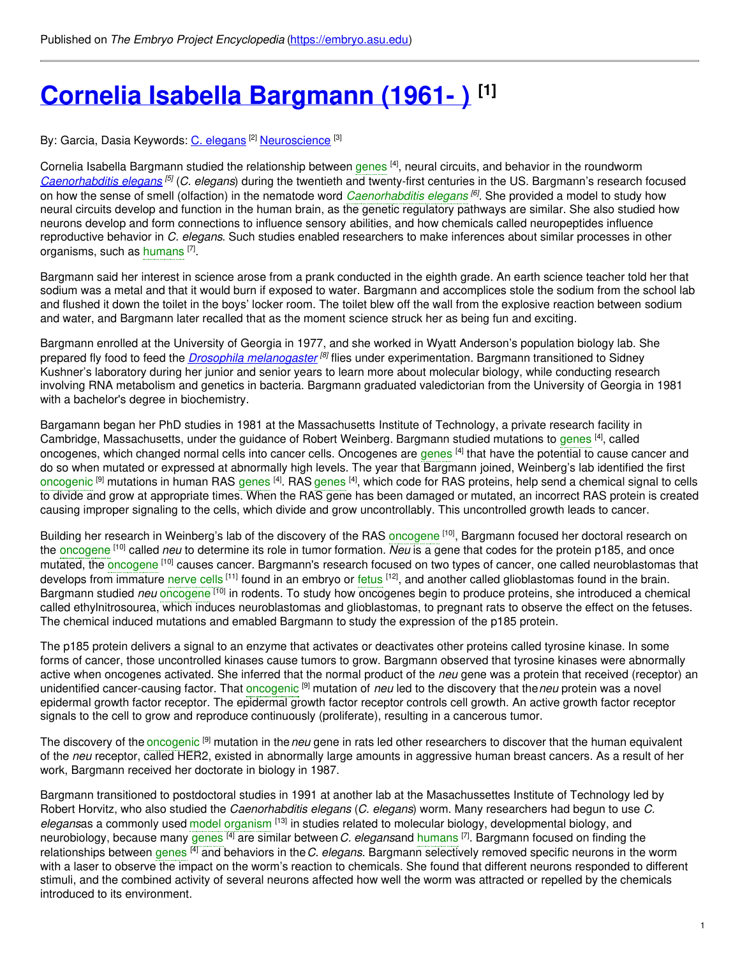# **Cornelia Isabella [Bargmann](https://embryo.asu.edu/pages/cornelia-isabella-bargmann-1961) (1961- ) [1]**

#### By: Garcia, Dasia Keywords: <u>C. [elegans](https://embryo.asu.edu/keywords/c-elegans) [2] [Neuroscience](https://embryo.asu.edu/keywords/neuroscience)</u> [3]

Cornelia Isabella Bargmann studied the relationship between [genes](https://embryo.asu.edu/search?text=genes) <sup>[4]</sup>, neural circuits, and behavior in the roundworm *[Caenorhabditis](https://eol.org/pages/403869/overview) elegans*<sup>[5]</sup> (*C. elegans*) during the twentieth and twenty-first centuries in the US. Bargmann's research focused on how the sense of smell (olfaction) in the nematode word *[Caenorhabditis](https://embryo.asu.edu/search?text=Caenorhabditis%20elegans) elegans [6]* . She provided a model to study how neural circuits develop and function in the human brain, as the genetic regulatory pathways are similar. She also studied how neurons develop and form connections to influence sensory abilities, and how chemicals called neuropeptides influence reproductive behavior in *C. elegans*. Such studies enabled researchers to make inferences about similar processes in other organisms, such as [humans](https://embryo.asu.edu/search?text=humans) <a>[7]</a>.

Bargmann said her interest in science arose from a prank conducted in the eighth grade. An earth science teacher told her that sodium was a metal and that it would burn if exposed to water. Bargmann and accomplices stole the sodium from the school lab and flushed it down the toilet in the boys' locker room. The toilet blew off the wall from the explosive reaction between sodium and water, and Bargmann later recalled that as the moment science struck her as being fun and exciting.

Bargmann enrolled at the University of Georgia in 1977, and she worked in Wyatt Anderson's population biology lab. She prepared fly food to feed the *Drosophila [melanogaster](http://eol.org/pages/733739/overview) [8]* flies under experimentation. Bargmann transitioned to Sidney Kushner's laboratory during her junior and senior years to learn more about molecular biology, while conducting research involving RNA metabolism and genetics in bacteria. Bargmann graduated valedictorian from the University of Georgia in 1981 with a bachelor's degree in biochemistry.

Bargamann began her PhD studies in 1981 at the Massachusetts Institute of Technology, a private research facility in Cambridge, Massachusetts, under the guidance of Robert Weinberg. Bargmann studied mutations to [genes](https://embryo.asu.edu/search?text=genes) <sup>[4]</sup>, called onco[genes](https://embryo.asu.edu/search?text=genes), which changed normal cells into cancer cells. Oncogenes are genes <sup>[4]</sup> that have the potential to cause cancer and do so when mutated or expressed at abnormally high levels. The year that Bargmann joined, Weinberg's lab identified the first [oncogenic](https://embryo.asu.edu/search?text=oncogenic) <sup>[9]</sup> mutations in human RAS [genes](https://embryo.asu.edu/search?text=genes) <sup>[4]</sup>. RAS genes <sup>[4]</sup>, which code for RAS proteins, help send a chemical signal to cells to divide and grow at appropriate times. When the RAS gene has been damaged or mutated, an incorrect RAS protein is created causing improper signaling to the cells, which divide and grow uncontrollably. This uncontrolled growth leads to cancer.

Building her research in Weinberg's lab of the discovery of the RAS [oncogene](https://embryo.asu.edu/search?text=oncogene) [10], Bargmann focused her doctoral research on the [oncogene](https://embryo.asu.edu/search?text=oncogene) [10] called *neu* to determine its role in tumor formation. *Neu* is a gene that codes for the protein p185, and once mutated, the [oncogene](https://embryo.asu.edu/search?text=oncogene) [10] causes cancer. Bargmann's research focused on two types of cancer, one called neuroblastomas that develops from immature [nerve](https://embryo.asu.edu/search?text=nerve%20cells) cells <sup>[11]</sup> found in an embryo or [fetus](https://embryo.asu.edu/search?text=fetus) <sup>[12]</sup>, and another called glioblastomas found in the brain. Bargmann studied *neu* [oncogene](https://embryo.asu.edu/search?text=oncogene) <sup>[10]</sup> in rodents. To study how oncogenes begin to produce proteins, she introduced a chemical called ethylnitrosourea, which induces neuroblastomas and glioblastomas, to pregnant rats to observe the effect on the fetuses. The chemical induced mutations and emabled Bargmann to study the expression of the p185 protein.

The p185 protein delivers a signal to an enzyme that activates or deactivates other proteins called tyrosine kinase. In some forms of cancer, those uncontrolled kinases cause tumors to grow. Bargmann observed that tyrosine kinases were abnormally active when oncogenes activated. She inferred that the normal product of the *neu* gene was a protein that received (receptor) an unidentified cancer-causing factor. That [oncogenic](https://embryo.asu.edu/search?text=oncogenic) [9] mutation of *neu* led to the discovery that the*neu* protein was a novel epidermal growth factor receptor. The epidermal growth factor receptor controls cell growth. An active growth factor receptor signals to the cell to grow and reproduce continuously (proliferate), resulting in a cancerous tumor.

The discovery of the [oncogenic](https://embryo.asu.edu/search?text=oncogenic) [9] mutation in the*neu* gene in rats led other researchers to discover that the human equivalent of the *neu* receptor, called HER2, existed in abnormally large amounts in aggressive human breast cancers. As a result of her work, Bargmann received her doctorate in biology in 1987.

Bargmann transitioned to postdoctoral studies in 1991 at another lab at the Masachussettes Institute of Technology led by Robert Horvitz, who also studied the *Caenorhabditis elegans* (*C. elegans*) worm. Many researchers had begun to use *C.* elegansas a commonly used model [organism](https://embryo.asu.edu/search?text=model%20organism) <sup>[13]</sup> in studies related to molecular biology, developmental biology, and neurobiology, because many [genes](https://embryo.asu.edu/search?text=genes) <sup>[4]</sup> are similar between *C. elegans*and [humans](https://embryo.asu.edu/search?text=humans) [7]. Bargmann focused on finding the relationships between [genes](https://embryo.asu.edu/search?text=genes) [4] and behaviors in the*C. elegans*. Bargmann selectively removed specific neurons in the worm with a laser to observe the impact on the worm's reaction to chemicals. She found that different neurons responded to different stimuli, and the combined activity of several neurons affected how well the worm was attracted or repelled by the chemicals introduced to its environment.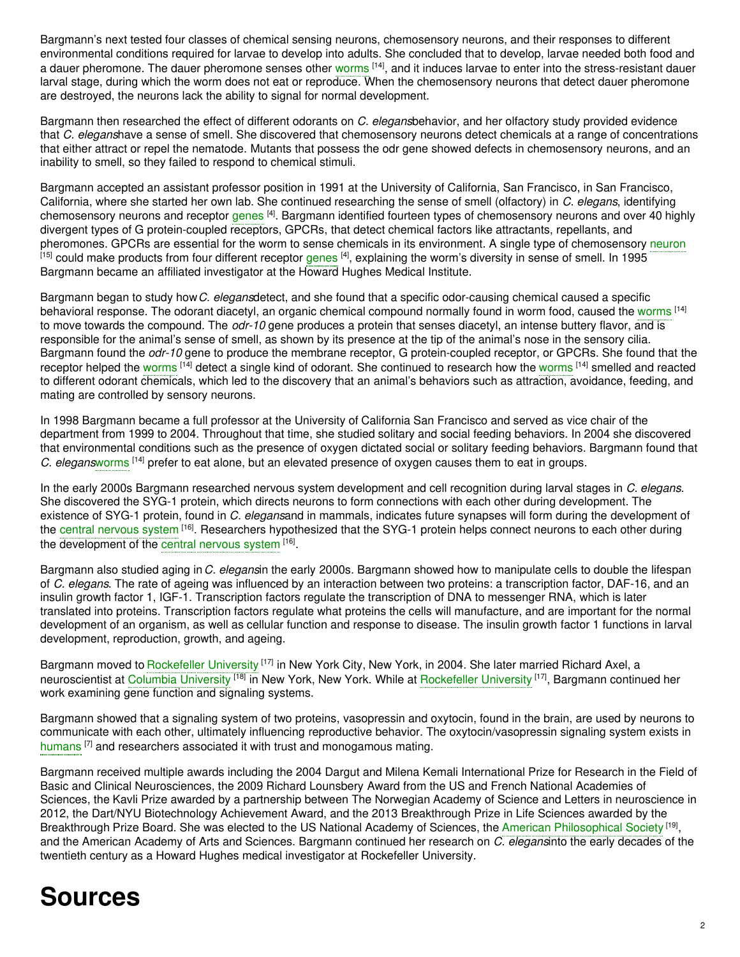Bargmann's next tested four classes of chemical sensing neurons, chemosensory neurons, and their responses to different environmental conditions required for larvae to develop into adults. She concluded that to develop, larvae needed both food and a dauer pheromone. The dauer pheromone senses other [worms](https://embryo.asu.edu/search?text=worms) [14], and it induces larvae to enter into the stress-resistant dauer larval stage, during which the worm does not eat or reproduce. When the chemosensory neurons that detect dauer pheromone are destroyed, the neurons lack the ability to signal for normal development.

Bargmann then researched the effect of different odorants on *C. elegans*behavior, and her olfactory study provided evidence that *C. elegans*have a sense of smell. She discovered that chemosensory neurons detect chemicals at a range of concentrations that either attract or repel the nematode. Mutants that possess the odr gene showed defects in chemosensory neurons, and an inability to smell, so they failed to respond to chemical stimuli.

Bargmann accepted an assistant professor position in 1991 at the University of California, San Francisco, in San Francisco, California, where she started her own lab. She continued researching the sense of smell (olfactory) in *C. elegans*, identifying chemosensory neurons and receptor [genes](https://embryo.asu.edu/search?text=genes) <sup>[4]</sup>. Bargmann identified fourteen types of chemosensory neurons and over 40 highly divergent types of G protein-coupled receptors, GPCRs, that detect chemical factors like attractants, repellants, and pheromones. GPCRs are essential for the worm to sense chemicals in its environment. A single type of chemosensory [neuron](https://embryo.asu.edu/search?text=neuron) <sup>[15]</sup> could make products from four different receptor [genes](https://embryo.asu.edu/search?text=genes) <sup>[4]</sup>, explaining the worm's diversity in sense of smell. In 1995 Bargmann became an affiliated investigator at the Howard Hughes Medical Institute.

Bargmann began to study how*C. elegans*detect, and she found that a specific odor-causing chemical caused a specific behavioral response. The odorant diacetyl, an organic chemical compound normally found in worm food, caused the [worms](https://embryo.asu.edu/search?text=worms) <sup>[14]</sup> to move towards the compound. The *odr-10* gene produces a protein that senses diacetyl, an intense buttery flavor, and is responsible for the animal's sense of smell, as shown by its presence at the tip of the animal's nose in the sensory cilia. Bargmann found the *odr-10* gene to produce the membrane receptor, G protein-coupled receptor, or GPCRs. She found that the receptor helped the [worms](https://embryo.asu.edu/search?text=worms) <sup>[14]</sup> detect a single kind of odorant. She continued to research how the worms <sup>[14]</sup> smelled and reacted to different odorant chemicals, which led to the discovery that an animal's behaviors such as attraction, avoidance, feeding, and mating are controlled by sensory neurons.

In 1998 Bargmann became a full professor at the University of California San Francisco and served as vice chair of the department from 1999 to 2004. Throughout that time, she studied solitary and social feeding behaviors. In 2004 she discovered that environmental conditions such as the presence of oxygen dictated social or solitary feeding behaviors. Bargmann found that *C. elegans*[worms](https://embryo.asu.edu/search?text=worms) [14] prefer to eat alone, but an elevated presence of oxygen causes them to eat in groups.

In the early 2000s Bargmann researched nervous system development and cell recognition during larval stages in *C. elegans*. She discovered the SYG-1 protein, which directs neurons to form connections with each other during development. The existence of SYG-1 protein, found in *C. elegans*and in mammals, indicates future synapses will form during the development of the central [nervous](https://embryo.asu.edu/search?text=central%20nervous%20system) system <sup>[16]</sup>. Researchers hypothesized that the SYG-1 protein helps connect neurons to each other during the development of the central [nervous](https://embryo.asu.edu/search?text=central%20nervous%20system) system [16].

Bargmann also studied aging in*C. elegans*in the early 2000s. Bargmann showed how to manipulate cells to double the lifespan of *C. elegans*. The rate of ageing was influenced by an interaction between two proteins: a transcription factor, DAF-16, and an insulin growth factor 1, IGF-1. Transcription factors regulate the transcription of DNA to messenger RNA, which is later translated into proteins. Transcription factors regulate what proteins the cells will manufacture, and are important for the normal development of an organism, as well as cellular function and response to disease. The insulin growth factor 1 functions in larval development, reproduction, growth, and ageing.

Bargmann moved to [Rockefeller](https://embryo.asu.edu/search?text=Rockefeller%20University) University <sup>[17]</sup> in New York City, New York, in 2004. She later married Richard Axel, a neuroscientist at Columbia [University](https://embryo.asu.edu/search?text=Columbia%20University) <sup>[18]</sup> in New York, New York. While at [Rockefeller](https://embryo.asu.edu/search?text=Rockefeller%20University) University <sup>[17]</sup>, Bargmann continued her work examining gene function and signaling systems.

Bargmann showed that a signaling system of two proteins, vasopressin and oxytocin, found in the brain, are used by neurons to communicate with each other, ultimately influencing reproductive behavior. The oxytocin/vasopressin signaling system exists in [humans](https://embryo.asu.edu/search?text=humans) <sup>[7]</sup> and researchers associated it with trust and monogamous mating.

Bargmann received multiple awards including the 2004 Dargut and Milena Kemali International Prize for Research in the Field of Basic and Clinical Neurosciences, the 2009 Richard Lounsbery Award from the US and French National Academies of Sciences, the Kavli Prize awarded by a partnership between The Norwegian Academy of Science and Letters in neuroscience in 2012, the Dart/NYU Biotechnology Achievement Award, and the 2013 Breakthrough Prize in Life Sciences awarded by the Breakthrough Prize Board. She was elected to the US National Academy of Sciences, the American [Philosophical](https://embryo.asu.edu/search?text=American%20Philosophical%20Society) Society<sup>[19]</sup>, and the American Academy of Arts and Sciences. Bargmann continued her research on *C. elegans*into the early decades of the twentieth century as a Howard Hughes medical investigator at Rockefeller University.

# **Sources**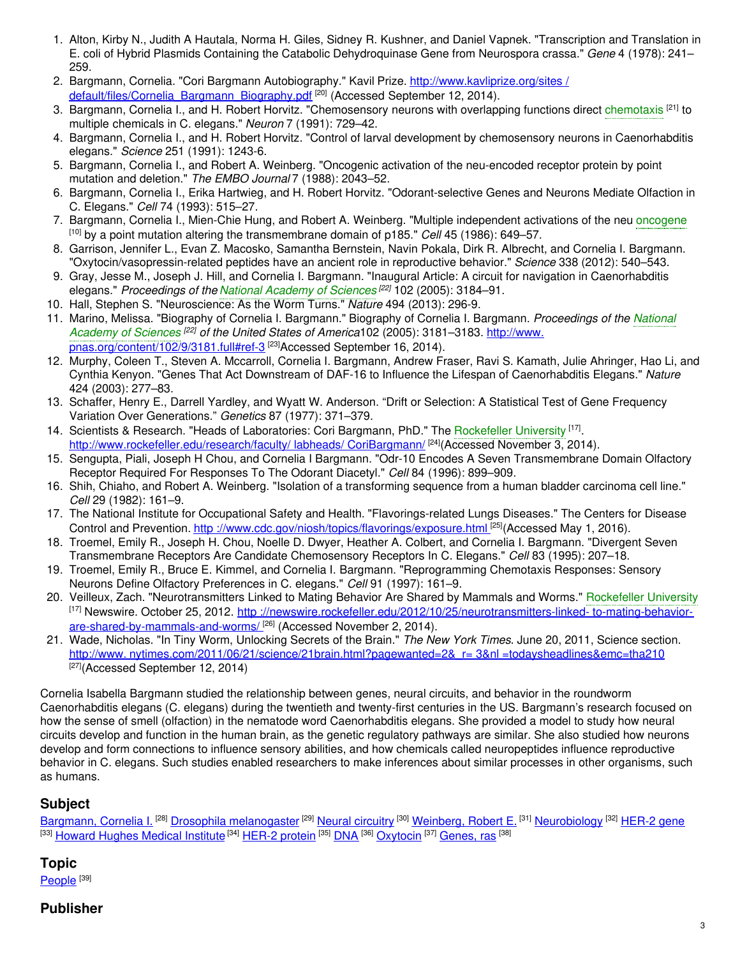- 1. Alton, Kirby N., Judith A Hautala, Norma H. Giles, Sidney R. Kushner, and Daniel Vapnek. "Transcription and Translation in E. coli of Hybrid Plasmids Containing the Catabolic Dehydroquinase Gene from Neurospora crassa." *Gene* 4 (1978): 241– 259.
- 2. Bargmann, Cornelia. "Cori Bargmann Autobiography." Kavil Prize. http://www.kavliprize.org/sites / [default/files/Cornelia\\_Bargmann\\_Biography.pdf](https://www.kavliprize.org/sites/default/files/%0A%09%09Cornelia_Bargmann_Biography.pdf)<sup>[20]</sup> (Accessed September 12, 2014).
- 3. Bargmann, Cornelia I., and H. Robert Horvitz. "Chemosensory neurons with overlapping functions direct [chemotaxis](https://embryo.asu.edu/search?text=chemotaxis) <sup>[21]</sup> to multiple chemicals in C. elegans." *Neuron* 7 (1991): 729–42.
- 4. Bargmann, Cornelia I., and H. Robert Horvitz. "Control of larval development by chemosensory neurons in Caenorhabditis elegans." *Science* 251 (1991): 1243-6.
- 5. Bargmann, Cornelia I., and Robert A. Weinberg. "Oncogenic activation of the neu-encoded receptor protein by point mutation and deletion." *The EMBO Journal* 7 (1988): 2043–52.
- 6. Bargmann, Cornelia I., Erika Hartwieg, and H. Robert Horvitz. "Odorant-selective Genes and Neurons Mediate Olfaction in C. Elegans." *Cell* 74 (1993): 515–27.
- 7. Bargmann, Cornelia I., Mien-Chie Hung, and Robert A. Weinberg. "Multiple independent activations of the neu [oncogene](https://embryo.asu.edu/search?text=oncogene) [10] by a point mutation altering the transmembrane domain of p185." *Cell* 45 (1986): 649–57.
- 8. Garrison, Jennifer L., Evan Z. Macosko, Samantha Bernstein, Navin Pokala, Dirk R. Albrecht, and Cornelia I. Bargmann. "Oxytocin/vasopressin-related peptides have an ancient role in reproductive behavior." *Science* 338 (2012): 540–543.
- 9. Gray, Jesse M., Joseph J. Hill, and Cornelia I. Bargmann. "Inaugural Article: A circuit for navigation in Caenorhabditis elegans." *Proceedings of the National [Academy](https://embryo.asu.edu/search?text=National%20Academy%20of%20Sciences) of Sciences [22]* 102 (2005): 3184–91.
- 10. Hall, Stephen S. "Neuroscience: As the Worm Turns." *Nature* 494 (2013): 296-9.
- 11. Marino, Melissa. "Biography of Cornelia I. Bargmann." Biography of Cornelia I. Bargmann. *[Proceedings](https://embryo.asu.edu/search?text=National%20Academy%20of%20Sciences) of the National Academy of Sciences [22] of the United States of America*102 (2005): 3181–3183. http://www. [pnas.org/content/102/9/3181.full#ref-3](http://www.pnas.org/content/102/9/3181.full#ref-3) <sup>[23]</sup>Accessed September 16, 2014).
- 12. Murphy, Coleen T., Steven A. Mccarroll, Cornelia I. Bargmann, Andrew Fraser, Ravi S. Kamath, Julie Ahringer, Hao Li, and Cynthia Kenyon. "Genes That Act Downstream of DAF-16 to Influence the Lifespan of Caenorhabditis Elegans." *Nature* 424 (2003): 277–83.
- 13. Schaffer, Henry E., Darrell Yardley, and Wyatt W. Anderson. "Drift or Selection: A Statistical Test of Gene Frequency Variation Over Generations." *Genetics* 87 (1977): 371–379.
- 14. Scientists & Research. "Heads of Laboratories: Cori Bargmann, PhD." The [Rockefeller](https://embryo.asu.edu/search?text=Rockefeller%20University) University [17]. [http://www.rockefeller.edu/research/faculty/](http://www.rockefeller.edu/research/faculty/labheads/%0A%09%09CoriBargmann/) labheads/ CoriBargmann/ [24] (Accessed November 3, 2014).
- 15. Sengupta, Piali, Joseph H Chou, and Cornelia I Bargmann. "Odr-10 Encodes A Seven Transmembrane Domain Olfactory Receptor Required For Responses To The Odorant Diacetyl." *Cell* 84 (1996): 899–909.
- 16. Shih, Chiaho, and Robert A. Weinberg. "Isolation of a transforming sequence from a human bladder carcinoma cell line." *Cell* 29 (1982): 161–9.
- 17. The National Institute for Occupational Safety and Health. "Flavorings-related Lungs Diseases." The Centers for Disease Control and Prevention. http[://www.cdc.gov/niosh/topics/flavorings/exposure.html](http://www.cdc.gov/niosh/topics/flavorings/exposure.html)<sup>[25]</sup>(Accessed May 1, 2016).
- 18. Troemel, Emily R., Joseph H. Chou, Noelle D. Dwyer, Heather A. Colbert, and Cornelia I. Bargmann. "Divergent Seven Transmembrane Receptors Are Candidate Chemosensory Receptors In C. Elegans." *Cell* 83 (1995): 207–18.
- 19. Troemel, Emily R., Bruce E. Kimmel, and Cornelia I. Bargmann. "Reprogramming Chemotaxis Responses: Sensory Neurons Define Olfactory Preferences in C. elegans." *Cell* 91 (1997): 161–9.
- 20. Veilleux, Zach. "Neurotransmitters Linked to Mating Behavior Are Shared by Mammals and Worms." [Rockefeller](https://embryo.asu.edu/search?text=Rockefeller%20University) University [17] Newswire. October 25, 2012. http[://newswire.rockefeller.edu/2012/10/25/neurotransmitters-linked-](http://newswire.rockefeller.edu/2012/10/25/neurotransmitters-%0A%09%09linked-to-mating-behavior-are-shared-by-mammals-and-worms/) to-mating-behaviorare-shared-by-mammals-and-worms/ [26] (Accessed November 2, 2014).
- 21. Wade, Nicholas. "In Tiny Worm, Unlocking Secrets of the Brain." *The New York Times*. June 20, 2011, Science section. http://www.[nytimes.com/2011/06/21/science/21brain.html?pagewanted=2&\\_r=](http://www.nytimes.com/2011/06/21/science/21brain.html?%0A%09%09pagewanted=2&_r=3&nl=todaysheadlines&emc=tha210) 3&nl =todaysheadlines&emc=tha210 [27] (Accessed September 12, 2014)

Cornelia Isabella Bargmann studied the relationship between genes, neural circuits, and behavior in the roundworm Caenorhabditis elegans (C. elegans) during the twentieth and twenty-first centuries in the US. Bargmann's research focused on how the sense of smell (olfaction) in the nematode word Caenorhabditis elegans. She provided a model to study how neural circuits develop and function in the human brain, as the genetic regulatory pathways are similar. She also studied how neurons develop and form connections to influence sensory abilities, and how chemicals called neuropeptides influence reproductive behavior in C. elegans. Such studies enabled researchers to make inferences about similar processes in other organisms, such as humans.

# **Subject**

[Bargmann,](https://embryo.asu.edu/library-congress-subject-headings/bargmann-cornelia-i) Cornelia I. <sup>[28]</sup> Drosophila [melanogaster](https://embryo.asu.edu/library-congress-subject-headings/drosophila-melanogaster) <sup>[29]</sup> Neural [circuitry](https://embryo.asu.edu/library-congress-subject-headings/neural-circuitry) <sup>[30]</sup> [Weinberg,](https://embryo.asu.edu/library-congress-subject-headings/weinberg-robert-e) Robert E. <sup>[31]</sup> [Neurobiology](https://embryo.asu.edu/library-congress-subject-headings/neurobiology) <sup>[32]</sup> [HER-2](https://embryo.asu.edu/library-congress-subject-headings/her-2-gene) gene <sup>[33]</sup> <u>Howard Hughes [Medical](https://embryo.asu.edu/library-congress-subject-headings/howard-hughes-medical-institute) Institute</u> <sup>[34]</sup> [HER-2](https://embryo.asu.edu/library-congress-subject-headings/her-2-protein) protein <sup>[35]</sup> [DNA](https://embryo.asu.edu/library-congress-subject-headings/dna) <sup>[36]</sup> [Oxytocin](https://embryo.asu.edu/library-congress-subject-headings/oxytocin) <sup>[37]</sup> [Genes,](https://embryo.asu.edu/medical-subject-headings/genes-ras) ras <sup>[38]</sup>

# **Topic**

<u>[People](https://embryo.asu.edu/topics/people)</u>  $^{[39]}$ 

## **Publisher**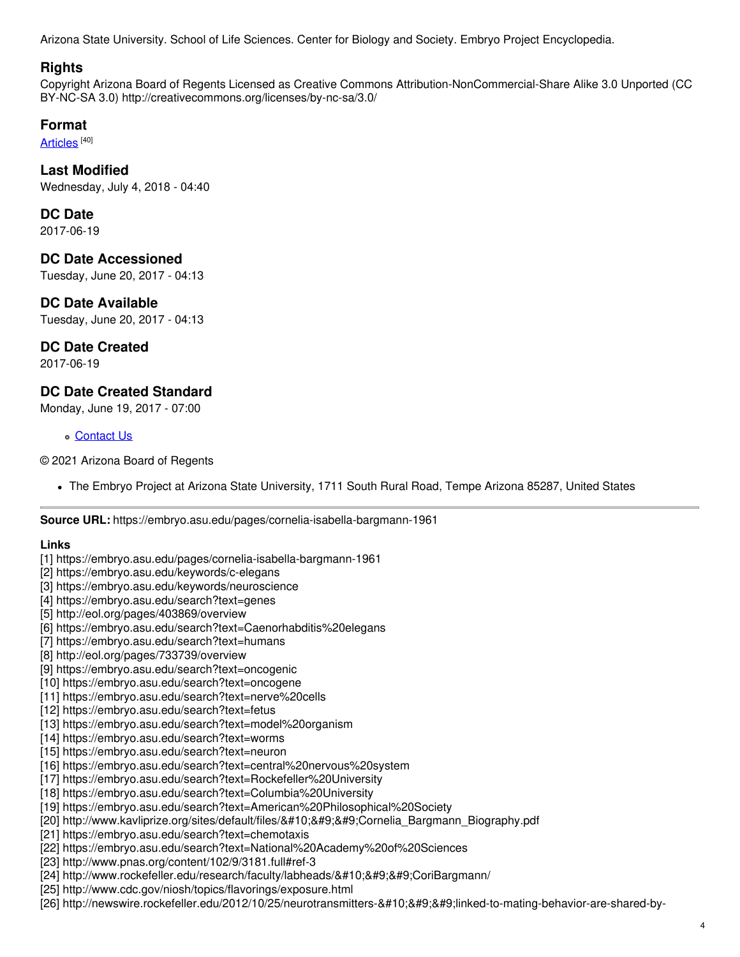Arizona State University. School of Life Sciences. Center for Biology and Society. Embryo Project Encyclopedia.

#### **Rights**

Copyright Arizona Board of Regents Licensed as Creative Commons Attribution-NonCommercial-Share Alike 3.0 Unported (CC BY-NC-SA 3.0) http://creativecommons.org/licenses/by-nc-sa/3.0/

## **Format**

[Articles](https://embryo.asu.edu/formats/articles) <sup>[40]</sup>

## **Last Modified**

Wednesday, July 4, 2018 - 04:40

#### **DC Date**

2017-06-19

## **DC Date Accessioned**

Tuesday, June 20, 2017 - 04:13

## **DC Date Available**

Tuesday, June 20, 2017 - 04:13

# **DC Date Created**

2017-06-19

## **DC Date Created Standard**

Monday, June 19, 2017 - 07:00

#### [Contact](https://embryo.asu.edu/contact) Us

© 2021 Arizona Board of Regents

The Embryo Project at Arizona State University, 1711 South Rural Road, Tempe Arizona 85287, United States

**Source URL:** https://embryo.asu.edu/pages/cornelia-isabella-bargmann-1961

#### **Links**

- [1] https://embryo.asu.edu/pages/cornelia-isabella-bargmann-1961
- [2] https://embryo.asu.edu/keywords/c-elegans
- [3] https://embryo.asu.edu/keywords/neuroscience
- [4] https://embryo.asu.edu/search?text=genes
- [5] http://eol.org/pages/403869/overview
- [6] https://embryo.asu.edu/search?text=Caenorhabditis%20elegans
- [7] https://embryo.asu.edu/search?text=humans
- [8] http://eol.org/pages/733739/overview
- [9] https://embryo.asu.edu/search?text=oncogenic
- [10] https://embryo.asu.edu/search?text=oncogene
- [11] https://embryo.asu.edu/search?text=nerve%20cells
- [12] https://embryo.asu.edu/search?text=fetus
- [13] https://embryo.asu.edu/search?text=model%20organism
- [14] https://embryo.asu.edu/search?text=worms
- [15] https://embryo.asu.edu/search?text=neuron
- [16] https://embryo.asu.edu/search?text=central%20nervous%20system
- [17] https://embryo.asu.edu/search?text=Rockefeller%20University
- [18] https://embryo.asu.edu/search?text=Columbia%20University
- [19] https://embryo.asu.edu/search?text=American%20Philosophical%20Society
- [20] http://www.kavliprize.org/sites/default/files/
 Cornelia Bargmann Biography.pdf
- [21] https://embryo.asu.edu/search?text=chemotaxis
- [22] https://embryo.asu.edu/search?text=National%20Academy%20of%20Sciences
- [23] http://www.pnas.org/content/102/9/3181.full#ref-3
- [24] http://www.rockefeller.edu/research/faculty/labheads/
 CoriBargmann/
- [25] http://www.cdc.gov/niosh/topics/flavorings/exposure.html
- [26] http://newswire.rockefeller.edu/2012/10/25/neurotransmitters linked-to-mating-behavior-are-shared-by-